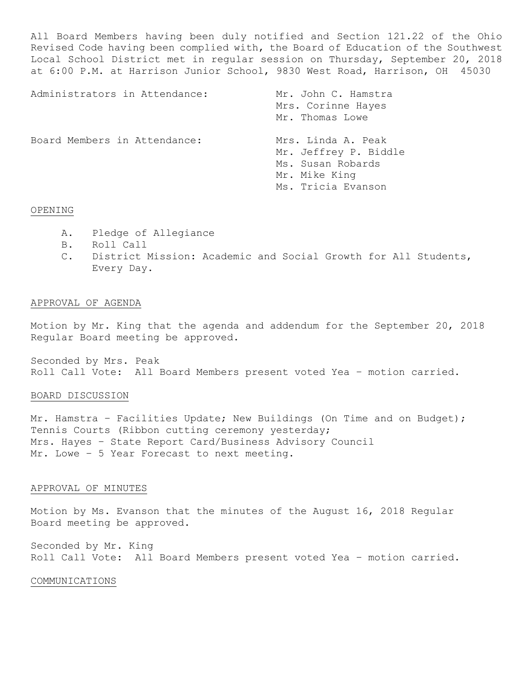All Board Members having been duly notified and Section 121.22 of the Ohio Revised Code having been complied with, the Board of Education of the Southwest Local School District met in regular session on Thursday, September 20, 2018 at 6:00 P.M. at Harrison Junior School, 9830 West Road, Harrison, OH 45030

| Administrators in Attendance: | Mr. John C. Hamstra<br>Mrs. Corinne Hayes<br>Mr. Thomas Lowe                                            |
|-------------------------------|---------------------------------------------------------------------------------------------------------|
| Board Members in Attendance:  | Mrs. Linda A. Peak<br>Mr. Jeffrey P. Biddle<br>Ms. Susan Robards<br>Mr. Mike King<br>Ms. Tricia Evanson |

## OPENING

- A. Pledge of Allegiance
- B. Roll Call
- C. District Mission: Academic and Social Growth for All Students, Every Day.

## APPROVAL OF AGENDA

Motion by Mr. King that the agenda and addendum for the September 20, 2018 Regular Board meeting be approved.

Seconded by Mrs. Peak Roll Call Vote: All Board Members present voted Yea – motion carried.

## BOARD DISCUSSION

Mr. Hamstra - Facilities Update; New Buildings (On Time and on Budget); Tennis Courts (Ribbon cutting ceremony yesterday; Mrs. Hayes – State Report Card/Business Advisory Council Mr. Lowe – 5 Year Forecast to next meeting.

## APPROVAL OF MINUTES

Motion by Ms. Evanson that the minutes of the August 16, 2018 Regular Board meeting be approved.

Seconded by Mr. King Roll Call Vote: All Board Members present voted Yea – motion carried.

## COMMUNICATIONS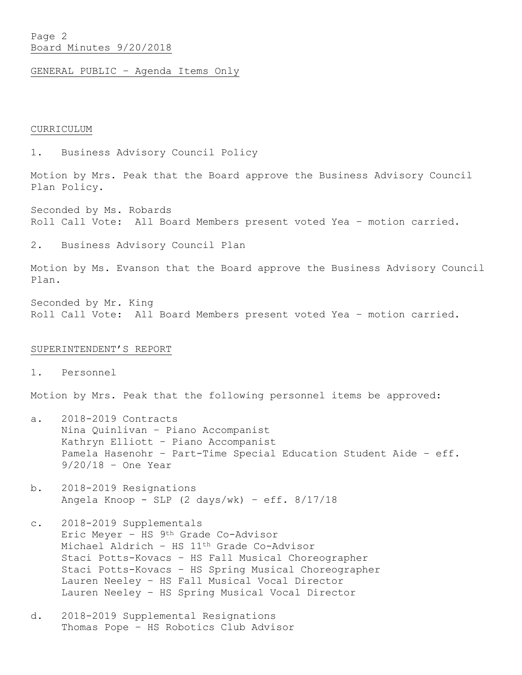# Page 2 Board Minutes 9/20/2018

GENERAL PUBLIC – Agenda Items Only

### CURRICULUM

1. Business Advisory Council Policy

Motion by Mrs. Peak that the Board approve the Business Advisory Council Plan Policy.

Seconded by Ms. Robards Roll Call Vote: All Board Members present voted Yea – motion carried.

2. Business Advisory Council Plan

Motion by Ms. Evanson that the Board approve the Business Advisory Council Plan.

Seconded by Mr. King Roll Call Vote: All Board Members present voted Yea – motion carried.

## SUPERINTENDENT'S REPORT

1. Personnel

Motion by Mrs. Peak that the following personnel items be approved:

- a. 2018-2019 Contracts Nina Quinlivan – Piano Accompanist Kathryn Elliott – Piano Accompanist Pamela Hasenohr – Part-Time Special Education Student Aide – eff. 9/20/18 – One Year
- b. 2018-2019 Resignations Angela Knoop - SLP (2 days/wk) – eff. 8/17/18
- c. 2018-2019 Supplementals Eric Meyer – HS 9th Grade Co-Advisor Michael Aldrich – HS 11th Grade Co-Advisor Staci Potts-Kovacs – HS Fall Musical Choreographer Staci Potts-Kovacs – HS Spring Musical Choreographer Lauren Neeley – HS Fall Musical Vocal Director Lauren Neeley – HS Spring Musical Vocal Director
- d. 2018-2019 Supplemental Resignations Thomas Pope – HS Robotics Club Advisor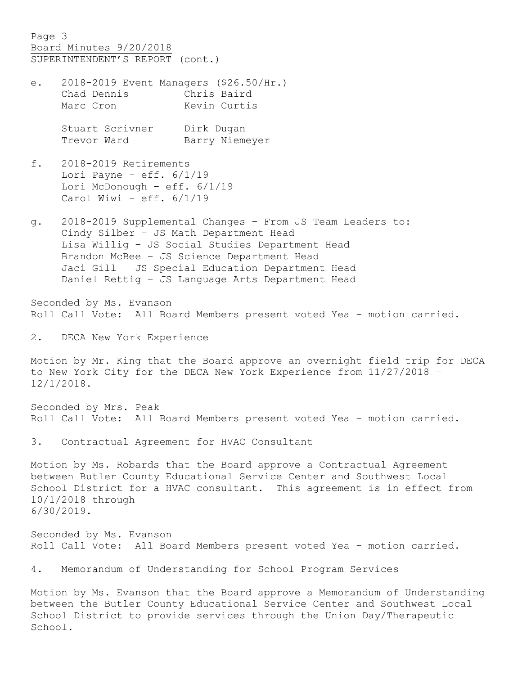Page 3 Board Minutes 9/20/2018 SUPERINTENDENT'S REPORT (cont.)

e. 2018-2019 Event Managers (\$26.50/Hr.) Chad Dennis Chris Baird Marc Cron Kevin Curtis

> Stuart Scrivner Dirk Dugan Trevor Ward Barry Niemeyer

- f. 2018-2019 Retirements Lori Payne - eff.  $6/1/19$ Lori McDonough – eff. 6/1/19 Carol Wiwi – eff. 6/1/19
- g. 2018-2019 Supplemental Changes From JS Team Leaders to: Cindy Silber – JS Math Department Head Lisa Willig – JS Social Studies Department Head Brandon McBee – JS Science Department Head Jaci Gill – JS Special Education Department Head Daniel Rettig – JS Language Arts Department Head

Seconded by Ms. Evanson Roll Call Vote: All Board Members present voted Yea – motion carried.

2. DECA New York Experience

Motion by Mr. King that the Board approve an overnight field trip for DECA to New York City for the DECA New York Experience from 11/27/2018 – 12/1/2018.

Seconded by Mrs. Peak Roll Call Vote: All Board Members present voted Yea – motion carried.

3. Contractual Agreement for HVAC Consultant

Motion by Ms. Robards that the Board approve a Contractual Agreement between Butler County Educational Service Center and Southwest Local School District for a HVAC consultant. This agreement is in effect from 10/1/2018 through 6/30/2019.

Seconded by Ms. Evanson Roll Call Vote: All Board Members present voted Yea – motion carried.

4. Memorandum of Understanding for School Program Services

Motion by Ms. Evanson that the Board approve a Memorandum of Understanding between the Butler County Educational Service Center and Southwest Local School District to provide services through the Union Day/Therapeutic School.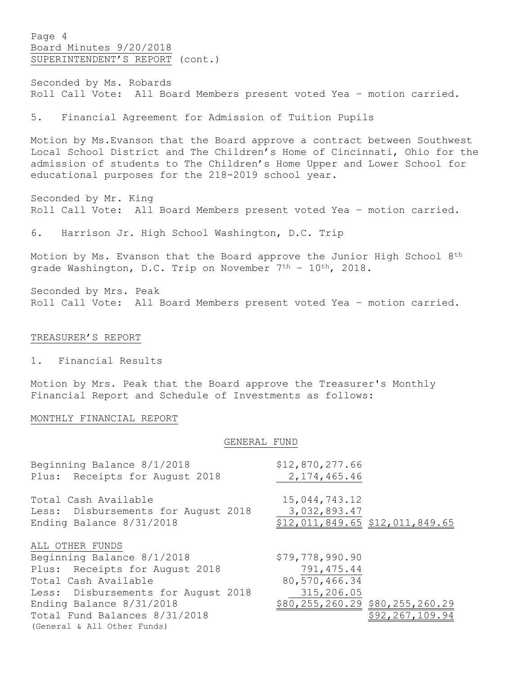Page 4 Board Minutes 9/20/2018 SUPERINTENDENT'S REPORT (cont.)

Seconded by Ms. Robards Roll Call Vote: All Board Members present voted Yea – motion carried.

5. Financial Agreement for Admission of Tuition Pupils

Motion by Ms.Evanson that the Board approve a contract between Southwest Local School District and The Children's Home of Cincinnati, Ohio for the admission of students to The Children's Home Upper and Lower School for educational purposes for the 218-2019 school year.

Seconded by Mr. King Roll Call Vote: All Board Members present voted Yea – motion carried.

6. Harrison Jr. High School Washington, D.C. Trip

Motion by Ms. Evanson that the Board approve the Junior High School 8th grade Washington, D.C. Trip on November 7<sup>th</sup> - 10<sup>th</sup>, 2018.

Seconded by Mrs. Peak Roll Call Vote: All Board Members present voted Yea – motion carried.

### TREASURER'S REPORT

1. Financial Results

Motion by Mrs. Peak that the Board approve the Treasurer's Monthly Financial Report and Schedule of Investments as follows:

### MONTHLY FINANCIAL REPORT

#### GENERAL FUND

| Beginning Balance 8/1/2018          | \$12,870,277.66                 |
|-------------------------------------|---------------------------------|
| Plus: Receipts for August 2018      | 2, 174, 465.46                  |
| Total Cash Available                | 15,044,743.12                   |
| Less: Disbursements for August 2018 | 3,032,893.47                    |
| Ending Balance 8/31/2018            | \$12,011,849.65 \$12,011,849.65 |
| ALL OTHER FUNDS                     |                                 |
| Beginning Balance 8/1/2018          | \$79,778,990.90                 |
| Plus: Receipts for August 2018      | 791, 475.44                     |
| Total Cash Available                | 80,570,466.34                   |
| Less: Disbursements for August 2018 | 315,206.05                      |
| Ending Balance 8/31/2018            | \$80,255,260.29 \$80,255,260.29 |
| Total Fund Balances 8/31/2018       | \$92,267,109.94                 |
| (General & All Other Funds)         |                                 |
|                                     |                                 |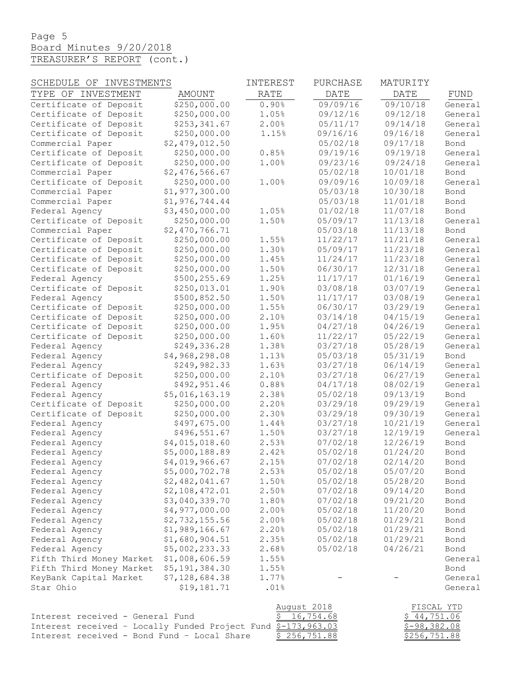# Page 5 Board Minutes 9/20/2018 TREASURER'S REPORT (cont.)

| INVESTMENTS<br>SCHEDULE OF       |                | INTEREST    | PURCHASE    | MATURITY    |            |
|----------------------------------|----------------|-------------|-------------|-------------|------------|
| TYPE OF INVESTMENT               | AMOUNT         | RATE        | DATE        | DATE        | FUND       |
| Certificate of Deposit           | \$250,000.00   | 0.90%       | 09/09/16    | 09/10/18    | General    |
| Certificate of Deposit           | \$250,000.00   | 1.05%       | 09/12/16    | 09/12/18    | General    |
| Certificate of Deposit           | \$253,341.67   | 2.00%       | 05/11/17    | 09/14/18    | General    |
| Certificate of Deposit           | \$250,000.00   | 1.15%       | 09/16/16    | 09/16/18    | General    |
| Commercial Paper                 | \$2,479,012.50 |             | 05/02/18    | 09/17/18    | Bond       |
| Certificate of Deposit           | \$250,000.00   | 0.85%       | 09/19/16    | 09/19/18    | General    |
| Certificate of Deposit           | \$250,000.00   | 1.00%       | 09/23/16    | 09/24/18    | General    |
| Commercial Paper                 | \$2,476,566.67 |             | 05/02/18    | 10/01/18    | Bond       |
| Certificate of Deposit           | \$250,000.00   | 1.00%       | 09/09/16    | 10/09/18    | General    |
| Commercial Paper                 | \$1,977,300.00 |             | 05/03/18    | 10/30/18    | Bond       |
| Commercial Paper                 | \$1,976,744.44 |             | 05/03/18    | 11/01/18    | Bond       |
| Federal Agency                   | \$3,450,000.00 | 1.05%       | 01/02/18    | 11/07/18    | Bond       |
| Certificate of Deposit           | \$250,000.00   | 1.50%       | 05/09/17    | 11/13/18    | General    |
| Commercial Paper                 | \$2,470,766.71 |             | 05/03/18    | 11/13/18    | Bond       |
| Certificate of Deposit           | \$250,000.00   | 1.55%       | 11/22/17    | 11/21/18    | General    |
| Certificate of Deposit           | \$250,000.00   | 1.30%       | 05/09/17    | 11/23/18    | General    |
| Certificate of Deposit           | \$250,000.00   | 1.45%       | 11/24/17    | 11/23/18    | General    |
| Certificate of Deposit           | \$250,000.00   | 1.50%       | 06/30/17    | 12/31/18    | General    |
| Federal Agency                   | \$500,255.69   | 1.25%       | 11/17/17    | 01/16/19    | General    |
| Certificate of Deposit           | \$250,013.01   | 1.90%       | 03/08/18    | 03/07/19    | General    |
| Federal Agency                   | \$500,852.50   | 1.50%       | 11/17/17    | 03/08/19    | General    |
| Certificate of Deposit           | \$250,000.00   | 1.55%       | 06/30/17    | 03/29/19    | General    |
| Certificate of Deposit           | \$250,000.00   | 2.10%       | 03/14/18    | 04/15/19    | General    |
| Certificate of Deposit           | \$250,000.00   | 1.95%       | 04/27/18    | 04/26/19    | General    |
| Certificate of Deposit           | \$250,000.00   | 1.60%       | 11/22/17    | 05/22/19    | General    |
| Federal Agency                   | \$249,336.28   | 1.38%       | 03/27/18    | 05/28/19    | General    |
| Federal Agency                   | \$4,968,298.08 | 1.13%       | 05/03/18    | 05/31/19    | Bond       |
| Federal Agency                   | \$249,982.33   | 1.63%       | 03/27/18    | 06/14/19    | General    |
| Certificate of Deposit           | \$250,000.00   | 2.10%       | 03/27/18    | 06/27/19    | General    |
| Federal Agency                   | \$492,951.46   | 0.88%       | 04/17/18    | 08/02/19    | General    |
| Federal Agency                   | \$5,016,163.19 | 2.38%       | 05/02/18    | 09/13/19    | Bond       |
| Certificate of Deposit           | \$250,000.00   | 2.20%       | 03/29/18    | 09/29/19    | General    |
| Certificate of Deposit           | \$250,000.00   | 2.30%       | 03/29/18    | 09/30/19    | General    |
| Federal Agency                   | \$497,675.00   | 1.44%       | 03/27/18    | 10/21/19    | General    |
| Federal Agency                   | \$496,551.67   | 1.50%       | 03/27/18    | 12/19/19    | General    |
| Federal Agency                   | \$4,015,018.60 | 2.53%       | 07/02/18    | 12/26/19    | Bond       |
| Federal Agency                   | \$5,000,188.89 | 2.42%       | 05/02/18    | 01/24/20    | Bond       |
| Federal Agency                   | \$4,019,966.67 | 2.15%       | 07/02/18    | 02/14/20    | Bond       |
| Federal Agency                   | \$5,000,702.78 | 2.53%       | 05/02/18    | 05/07/20    | Bond       |
| Federal Agency                   | \$2,482,041.67 | 1.50%       | 05/02/18    | 05/28/20    | Bond       |
| Federal Agency                   | \$2,108,472.01 | 2.50%       | 07/02/18    | 09/14/20    | Bond       |
| Federal Agency                   | \$3,040,339.70 | 1.80%       | 07/02/18    | 09/21/20    | Bond       |
| Federal Agency                   | \$4,977,000.00 | 2.00%       | 05/02/18    | 11/20/20    | Bond       |
| Federal Agency                   | \$2,732,155.56 | 2.00%       | 05/02/18    | 01/29/21    | Bond       |
| Federal Agency                   | \$1,989,166.67 | 2.20%       | 05/02/18    | 01/29/21    | Bond       |
| Federal Agency                   | \$1,680,904.51 | 2.35%       | 05/02/18    | 01/29/21    | Bond       |
| Federal Agency                   | \$5,002,233.33 | 2.68%       | 05/02/18    | 04/26/21    | Bond       |
| Fifth Third Money Market         | \$1,008,606.59 | 1.55%       |             |             | General    |
| Fifth Third Money Market         | \$5,191,384.30 | 1.55%       |             |             | Bond       |
| KeyBank Capital Market           | \$7,128,684.38 | 1.77%       |             |             | General    |
| Star Ohio                        | \$19,181.71    | .01%        |             |             | General    |
|                                  |                |             |             |             |            |
|                                  |                | August 2018 |             |             | FISCAL YTD |
| Interest received - General Fund |                |             | \$16,754.68 | \$44,751.06 |            |

| Interest received - General Fund            |                                                                | \$16,754.68  | \$44,751.06   |
|---------------------------------------------|----------------------------------------------------------------|--------------|---------------|
|                                             | Interest received - Locally Funded Project Fund $$-173,963.03$ |              | $$-98,382.08$ |
| Interest received - Bond Fund - Local Share |                                                                | \$256,751.88 | \$256,751.88  |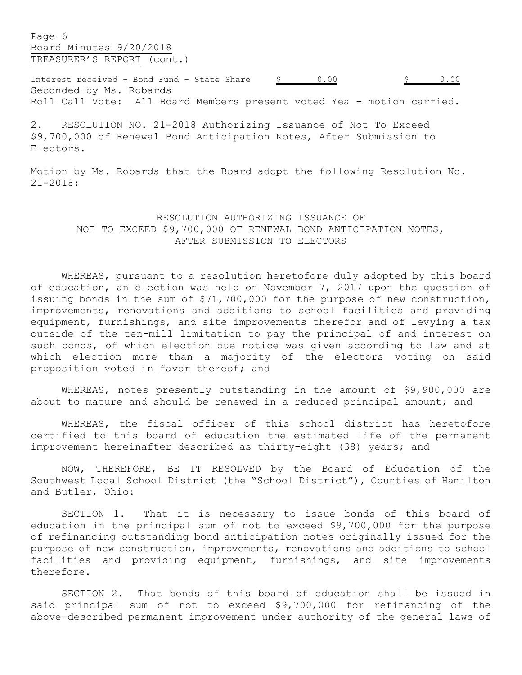Page 6 Board Minutes 9/20/2018 TREASURER'S REPORT (cont.)

Interest received – Bond Fund – State Share  $\frac{5}{2}$  0.00  $\frac{5}{2}$  0.00 Seconded by Ms. Robards Roll Call Vote: All Board Members present voted Yea – motion carried.

2. RESOLUTION NO. 21-2018 Authorizing Issuance of Not To Exceed \$9,700,000 of Renewal Bond Anticipation Notes, After Submission to Electors.

Motion by Ms. Robards that the Board adopt the following Resolution No. 21-2018:

# RESOLUTION AUTHORIZING ISSUANCE OF NOT TO EXCEED \$9,700,000 OF RENEWAL BOND ANTICIPATION NOTES, AFTER SUBMISSION TO ELECTORS

WHEREAS, pursuant to a resolution heretofore duly adopted by this board of education, an election was held on November 7, 2017 upon the question of issuing bonds in the sum of \$71,700,000 for the purpose of new construction, improvements, renovations and additions to school facilities and providing equipment, furnishings, and site improvements therefor and of levying a tax outside of the ten-mill limitation to pay the principal of and interest on such bonds, of which election due notice was given according to law and at which election more than a majority of the electors voting on said proposition voted in favor thereof; and

WHEREAS, notes presently outstanding in the amount of \$9,900,000 are about to mature and should be renewed in a reduced principal amount; and

WHEREAS, the fiscal officer of this school district has heretofore certified to this board of education the estimated life of the permanent improvement hereinafter described as thirty-eight (38) years; and

NOW, THEREFORE, BE IT RESOLVED by the Board of Education of the Southwest Local School District (the "School District"), Counties of Hamilton and Butler, Ohio:

SECTION 1. That it is necessary to issue bonds of this board of education in the principal sum of not to exceed \$9,700,000 for the purpose of refinancing outstanding bond anticipation notes originally issued for the purpose of new construction, improvements, renovations and additions to school facilities and providing equipment, furnishings, and site improvements therefore.

SECTION 2. That bonds of this board of education shall be issued in said principal sum of not to exceed \$9,700,000 for refinancing of the above-described permanent improvement under authority of the general laws of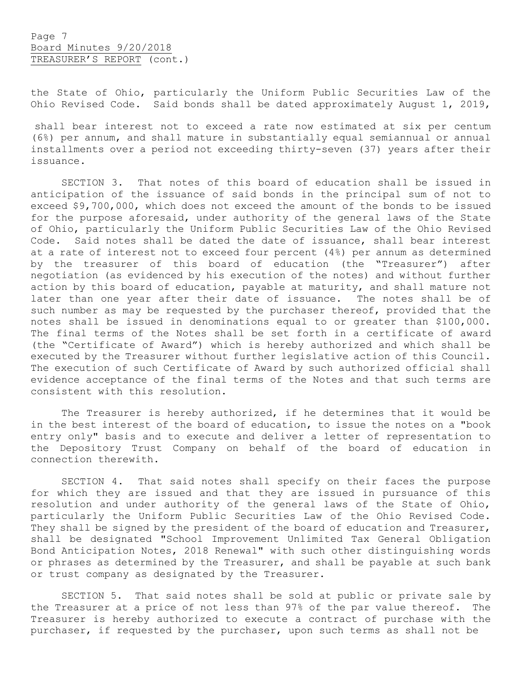the State of Ohio, particularly the Uniform Public Securities Law of the Ohio Revised Code. Said bonds shall be dated approximately August 1, 2019,

shall bear interest not to exceed a rate now estimated at six per centum (6%) per annum, and shall mature in substantially equal semiannual or annual installments over a period not exceeding thirty-seven (37) years after their issuance.

SECTION 3. That notes of this board of education shall be issued in anticipation of the issuance of said bonds in the principal sum of not to exceed \$9,700,000, which does not exceed the amount of the bonds to be issued for the purpose aforesaid, under authority of the general laws of the State of Ohio, particularly the Uniform Public Securities Law of the Ohio Revised Code. Said notes shall be dated the date of issuance, shall bear interest at a rate of interest not to exceed four percent (4%) per annum as determined by the treasurer of this board of education (the "Treasurer") after negotiation (as evidenced by his execution of the notes) and without further action by this board of education, payable at maturity, and shall mature not later than one year after their date of issuance. The notes shall be of such number as may be requested by the purchaser thereof, provided that the notes shall be issued in denominations equal to or greater than \$100,000. The final terms of the Notes shall be set forth in a certificate of award (the "Certificate of Award") which is hereby authorized and which shall be executed by the Treasurer without further legislative action of this Council. The execution of such Certificate of Award by such authorized official shall evidence acceptance of the final terms of the Notes and that such terms are consistent with this resolution.

The Treasurer is hereby authorized, if he determines that it would be in the best interest of the board of education, to issue the notes on a "book entry only" basis and to execute and deliver a letter of representation to the Depository Trust Company on behalf of the board of education in connection therewith.

SECTION 4. That said notes shall specify on their faces the purpose for which they are issued and that they are issued in pursuance of this resolution and under authority of the general laws of the State of Ohio, particularly the Uniform Public Securities Law of the Ohio Revised Code. They shall be signed by the president of the board of education and Treasurer, shall be designated "School Improvement Unlimited Tax General Obligation Bond Anticipation Notes, 2018 Renewal" with such other distinguishing words or phrases as determined by the Treasurer, and shall be payable at such bank or trust company as designated by the Treasurer.

SECTION 5. That said notes shall be sold at public or private sale by the Treasurer at a price of not less than 97% of the par value thereof. The Treasurer is hereby authorized to execute a contract of purchase with the purchaser, if requested by the purchaser, upon such terms as shall not be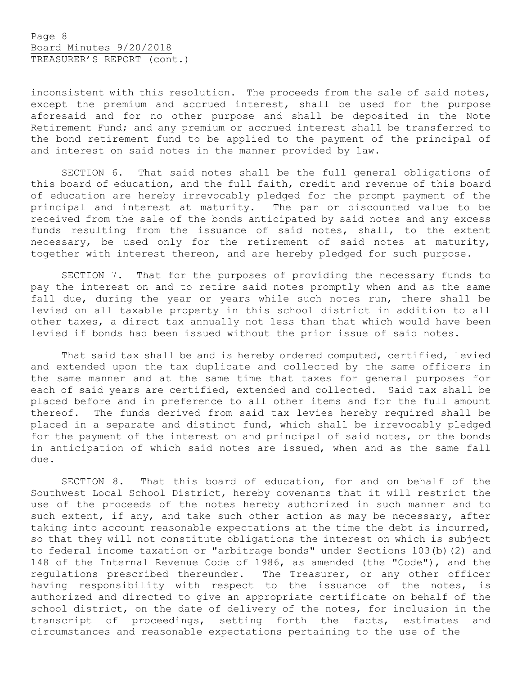inconsistent with this resolution. The proceeds from the sale of said notes, except the premium and accrued interest, shall be used for the purpose aforesaid and for no other purpose and shall be deposited in the Note Retirement Fund; and any premium or accrued interest shall be transferred to the bond retirement fund to be applied to the payment of the principal of and interest on said notes in the manner provided by law.

SECTION 6. That said notes shall be the full general obligations of this board of education, and the full faith, credit and revenue of this board of education are hereby irrevocably pledged for the prompt payment of the principal and interest at maturity. The par or discounted value to be received from the sale of the bonds anticipated by said notes and any excess funds resulting from the issuance of said notes, shall, to the extent necessary, be used only for the retirement of said notes at maturity, together with interest thereon, and are hereby pledged for such purpose.

SECTION 7. That for the purposes of providing the necessary funds to pay the interest on and to retire said notes promptly when and as the same fall due, during the year or years while such notes run, there shall be levied on all taxable property in this school district in addition to all other taxes, a direct tax annually not less than that which would have been levied if bonds had been issued without the prior issue of said notes.

That said tax shall be and is hereby ordered computed, certified, levied and extended upon the tax duplicate and collected by the same officers in the same manner and at the same time that taxes for general purposes for each of said years are certified, extended and collected. Said tax shall be placed before and in preference to all other items and for the full amount thereof. The funds derived from said tax levies hereby required shall be placed in a separate and distinct fund, which shall be irrevocably pledged for the payment of the interest on and principal of said notes, or the bonds in anticipation of which said notes are issued, when and as the same fall due.

SECTION 8. That this board of education, for and on behalf of the Southwest Local School District, hereby covenants that it will restrict the use of the proceeds of the notes hereby authorized in such manner and to such extent, if any, and take such other action as may be necessary, after taking into account reasonable expectations at the time the debt is incurred, so that they will not constitute obligations the interest on which is subject to federal income taxation or "arbitrage bonds" under Sections 103(b)(2) and 148 of the Internal Revenue Code of 1986, as amended (the "Code"), and the regulations prescribed thereunder. The Treasurer, or any other officer having responsibility with respect to the issuance of the notes, is authorized and directed to give an appropriate certificate on behalf of the school district, on the date of delivery of the notes, for inclusion in the transcript of proceedings, setting forth the facts, estimates and circumstances and reasonable expectations pertaining to the use of the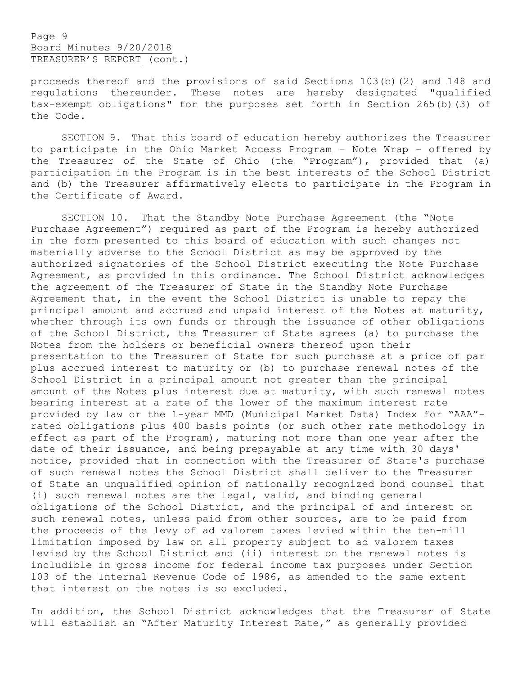# Page 9 Board Minutes 9/20/2018 TREASURER'S REPORT (cont.)

proceeds thereof and the provisions of said Sections 103(b)(2) and 148 and regulations thereunder. These notes are hereby designated "qualified tax-exempt obligations" for the purposes set forth in Section 265(b)(3) of the Code.

SECTION 9. That this board of education hereby authorizes the Treasurer to participate in the Ohio Market Access Program – Note Wrap - offered by the Treasurer of the State of Ohio (the "Program"), provided that (a) participation in the Program is in the best interests of the School District and (b) the Treasurer affirmatively elects to participate in the Program in the Certificate of Award.

SECTION 10. That the Standby Note Purchase Agreement (the "Note Purchase Agreement") required as part of the Program is hereby authorized in the form presented to this board of education with such changes not materially adverse to the School District as may be approved by the authorized signatories of the School District executing the Note Purchase Agreement, as provided in this ordinance. The School District acknowledges the agreement of the Treasurer of State in the Standby Note Purchase Agreement that, in the event the School District is unable to repay the principal amount and accrued and unpaid interest of the Notes at maturity, whether through its own funds or through the issuance of other obligations of the School District, the Treasurer of State agrees (a) to purchase the Notes from the holders or beneficial owners thereof upon their presentation to the Treasurer of State for such purchase at a price of par plus accrued interest to maturity or (b) to purchase renewal notes of the School District in a principal amount not greater than the principal amount of the Notes plus interest due at maturity, with such renewal notes bearing interest at a rate of the lower of the maximum interest rate provided by law or the 1-year MMD (Municipal Market Data) Index for "AAA" rated obligations plus 400 basis points (or such other rate methodology in effect as part of the Program), maturing not more than one year after the date of their issuance, and being prepayable at any time with 30 days' notice, provided that in connection with the Treasurer of State's purchase of such renewal notes the School District shall deliver to the Treasurer of State an unqualified opinion of nationally recognized bond counsel that (i) such renewal notes are the legal, valid, and binding general obligations of the School District, and the principal of and interest on such renewal notes, unless paid from other sources, are to be paid from the proceeds of the levy of ad valorem taxes levied within the ten-mill limitation imposed by law on all property subject to ad valorem taxes levied by the School District and (ii) interest on the renewal notes is includible in gross income for federal income tax purposes under Section 103 of the Internal Revenue Code of 1986, as amended to the same extent that interest on the notes is so excluded.

In addition, the School District acknowledges that the Treasurer of State will establish an "After Maturity Interest Rate," as generally provided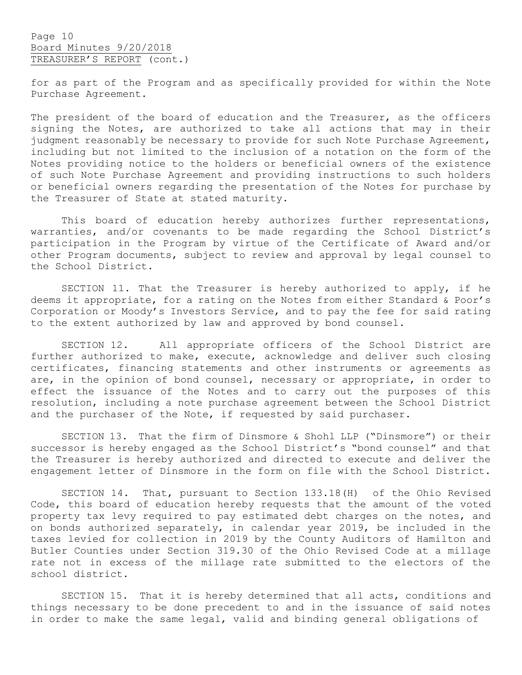for as part of the Program and as specifically provided for within the Note Purchase Agreement.

The president of the board of education and the Treasurer, as the officers signing the Notes, are authorized to take all actions that may in their judgment reasonably be necessary to provide for such Note Purchase Agreement, including but not limited to the inclusion of a notation on the form of the Notes providing notice to the holders or beneficial owners of the existence of such Note Purchase Agreement and providing instructions to such holders or beneficial owners regarding the presentation of the Notes for purchase by the Treasurer of State at stated maturity.

This board of education hereby authorizes further representations, warranties, and/or covenants to be made regarding the School District's participation in the Program by virtue of the Certificate of Award and/or other Program documents, subject to review and approval by legal counsel to the School District.

SECTION 11. That the Treasurer is hereby authorized to apply, if he deems it appropriate, for a rating on the Notes from either Standard & Poor's Corporation or Moody's Investors Service, and to pay the fee for said rating to the extent authorized by law and approved by bond counsel.

SECTION 12. All appropriate officers of the School District are further authorized to make, execute, acknowledge and deliver such closing certificates, financing statements and other instruments or agreements as are, in the opinion of bond counsel, necessary or appropriate, in order to effect the issuance of the Notes and to carry out the purposes of this resolution, including a note purchase agreement between the School District and the purchaser of the Note, if requested by said purchaser.

SECTION 13. That the firm of Dinsmore & Shohl LLP ("Dinsmore") or their successor is hereby engaged as the School District's "bond counsel" and that the Treasurer is hereby authorized and directed to execute and deliver the engagement letter of Dinsmore in the form on file with the School District.

SECTION 14. That, pursuant to Section 133.18(H) of the Ohio Revised Code, this board of education hereby requests that the amount of the voted property tax levy required to pay estimated debt charges on the notes, and on bonds authorized separately, in calendar year 2019, be included in the taxes levied for collection in 2019 by the County Auditors of Hamilton and Butler Counties under Section 319.30 of the Ohio Revised Code at a millage rate not in excess of the millage rate submitted to the electors of the school district.

SECTION 15. That it is hereby determined that all acts, conditions and things necessary to be done precedent to and in the issuance of said notes in order to make the same legal, valid and binding general obligations of